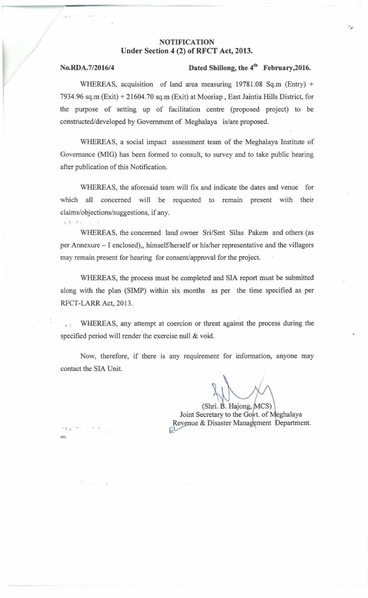## **NOTIFICATION** Under Section 4 (2) of RFCT Act, 2013.

 $1 - 1 - 1$ 

• • I i diU .

## No.RDA.7/2016/4 Dated Shillong, the  $4<sup>th</sup>$  February, 2016.

r ,.

WHEREAS, acquisition of land area measuring 19781.08 Sq.m (Entry) + 7934.96 sq.m (Exit) + 21604.70 sq.m (Exit) at Mooriap, East Jaintia Hills District, for the purpose of setting up of facilitation centre (proposed project) to be constructed/developed by Government of Meghalaya is/are proposed.

WHEREAS, a social impact assessment team of the Meghalaya Institute of Governance (MIG) has been formed to consult, to survey and to take public hearing after publication of this Notification.

WHEREAS, the aforesaid team will fix and indicate the dates and venue for which all concerned will be requested to remain present with their claim s/objections/suggestions, if any.

WHEREAS, the concerned land owner Sri/Smt Silas Pakem and others (as per Annexure - I enclosed),, himself/herself or his/her representative and the villagers may remain present for hearing for consent/approval for the project.

WHEREAS, the process must be completed and SIA report must be submitted along with the plan (SIMP) within six months as per the time specified as per RFCT-LARR Act, 2013.

<sup>1</sup>: WHEREAS, any attempt at coercion or threat against the process during the specified period will render the exercise null & void.

Now, therefore, if there is any requirement for information, anyone may contact the SIA Unit.

(Shri. B. Hajong, MCS) Joint Secretary to the Govt. of Meghalaya Joint Secretary to the Govt. of Meghalaya<br>Revenue & Disaster Management Department.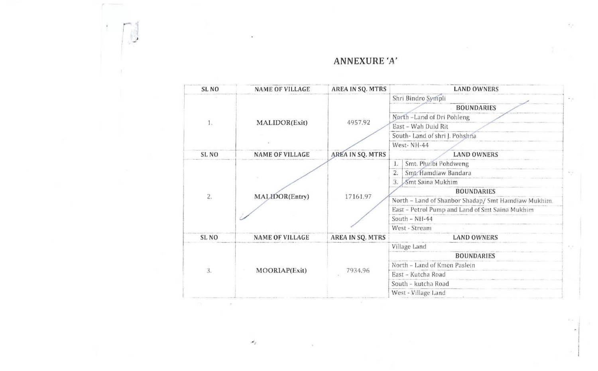SL<sub>NO</sub> **NAME OF VILLAGE** AREA IN SQ. MTRS **LAND OWNERS** Shri Bindro Sympli **BOUNDARIES** North -Land of Dri Pohleng MALIDOR(Exit) 4957.92  $1.$ East - Wah Duid Rit South-Land of shri J. Pohshna West-NH-44 SL<sub>NO</sub> **NAME OF VILLAGE AREA IN SQ. MTRS LAND OWNERS** 1. Smt. Phulbi Pohdweng  $\overline{2}$ . Smt. Hamdiaw Bandara  $\overline{3}$ . Smt Saina Mukhim **BOUNDARIES** MALIDOR(Entry) 17161.97 2. North - Land of Shanbor Shadap/ Smt Hamdiaw Mukhim. East - Petrol Pump and Land of Smt Saina Mukhim South - NII-44 West - Stream **LAND OWNERS** SL<sub>NO</sub> **NAME OF VILLAGE AREA IN SQ. MTRS** Village Land **BOUNDARIES** North - Land of Kmen Paslein  $3.$ MOORIAP(Exit) 7934.96 East - Kutcha Road South - kutcha Road West - Village Land

 $\mathcal{M}_{\mathcal{J}}$ 

**ANNEXURE 'A'**